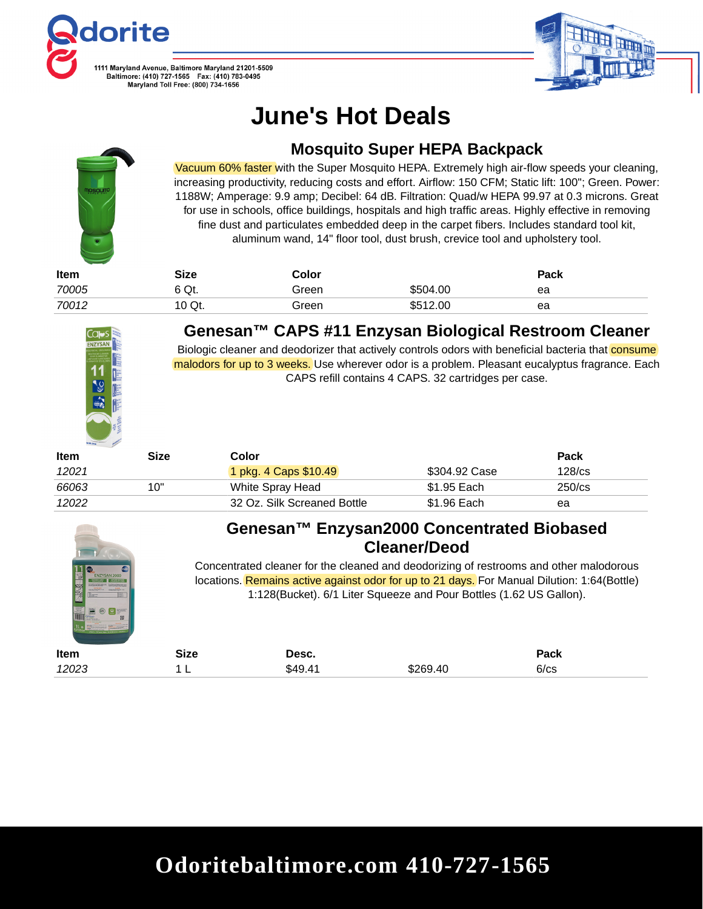



# **June's Hot Deals**



### **Mosquito Super HEPA Backpack**

Vacuum 60% faster with the Super Mosquito HEPA. Extremely high air-flow speeds your cleaning, increasing productivity, reducing costs and effort. Airflow: 150 CFM; Static lift: 100"; Green. Power: 1188W; Amperage: 9.9 amp; Decibel: 64 dB. Filtration: Quad/w HEPA 99.97 at 0.3 microns. Great for use in schools, office buildings, hospitals and high traffic areas. Highly effective in removing fine dust and particulates embedded deep in the carpet fibers. Includes standard tool kit, aluminum wand, 14" floor tool, dust brush, crevice tool and upholstery tool.

| <b>Item</b> | Size   | Color |          | Pack |
|-------------|--------|-------|----------|------|
| 70005       | 6 Qt.  | Green | \$504.00 | ea   |
| 70012       | 10 Qt. | Green | \$512.00 | ea   |



#### **Genesan™ CAPS #11 Enzysan Biological Restroom Cleaner**

Biologic cleaner and deodorizer that actively controls odors with beneficial bacteria that consume malodors for up to 3 weeks. Use wherever odor is a problem. Pleasant eucalyptus fragrance. Each CAPS refill contains 4 CAPS. 32 cartridges per case.

| <b>Item</b> | Size | Color                       |               | Pack         |
|-------------|------|-----------------------------|---------------|--------------|
| 12021       |      | 1 pkg. 4 Caps \$10.49       | \$304.92 Case | $128$ / $cs$ |
| 66063       | 10"  | White Spray Head            | \$1.95 Each   | $250$ /cs    |
| 12022       |      | 32 Oz. Silk Screaned Bottle | \$1.96 Each   | ea           |



### **Genesan™ Enzysan2000 Concentrated Biobased Cleaner/Deod**

Concentrated cleaner for the cleaned and deodorizing of restrooms and other malodorous locations. Remains active against odor for up to 21 days. For Manual Dilution: 1:64(Bottle) 1:128(Bucket). 6/1 Liter Squeeze and Pour Bottles (1.62 US Gallon).

| Item  | <b>Size</b> | Desc.   |          | Pack |  |
|-------|-------------|---------|----------|------|--|
| 12023 | -           | \$49.41 | \$269.40 | 6/cs |  |

### **Odoritebaltimore.com 410-727-1565**